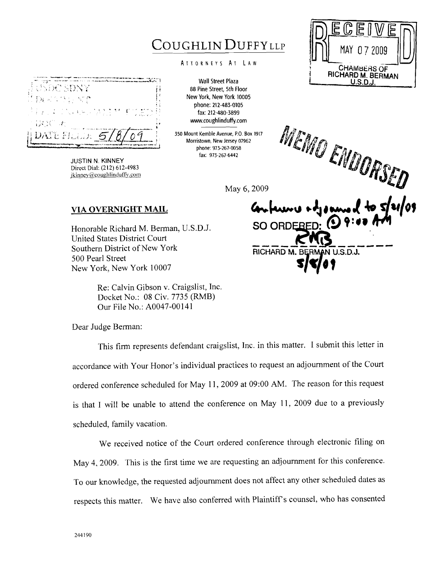## COUGHLIN DUFFYLLP

## ATTORNEYS AT LAW

**Wall Street Plaza 88 Pine Street, 5th Floor New York, New York 10005 phone: 212-483-0105 fax: 212-480-3899 w.coughlinduff'y.com** 

**350 Mount Kemble Avenue, P.O. Box 1917 Morristown. New Jersey 07962 phone: 973-267-0058 fax: 973-267-6442** 

May 6, 2009

## **VIA OVERNIGHT MAIL**

Honorable Richard M. Berman, U.S.D.J. United States District Court Southern District of New York 500 Pearl Street New York, New York 10007

> Re: Calvin Gibson v. Craigslist, Inc. Docket No.: 08 Civ. 7735 (RMB) Our File No.: A0047-00141

Dear Judge Berman:

This firm represents defendant craigslist, Inc. in this matter. I submit this letter in accordance with Your Honor's individual practices to request an adjournment of the Court ordered conference scheduled for May 11, 2009 at 09:OO AM. The reason for this request is that I will be unable to attend the conference on May 11, 2009 due to a previously scheduled, family vacation.

We received notice of the Court ordered conference through electronic filing on May 4, 2009. This is the first time we are requesting an adjournment for this conference. To our knowledge, the requested adjournment does not affect any other scheduled dates as respects this matter. We have also conferred with Plaintiffs counsel, who has consented

MEMO ENDORSED SO ORD RICHARD M. B  $U.S.D.J.$ 



**JUSTIN N. KINNEY Direct** Dial: **(21** 2) *6* 12-4983 jkinney@coughlinduffy.com

后 MAY 0.7.2009 **3 CHAIMB~HS QF <sup>d</sup>RICHARD M. BERMAN U.S.D.J.**